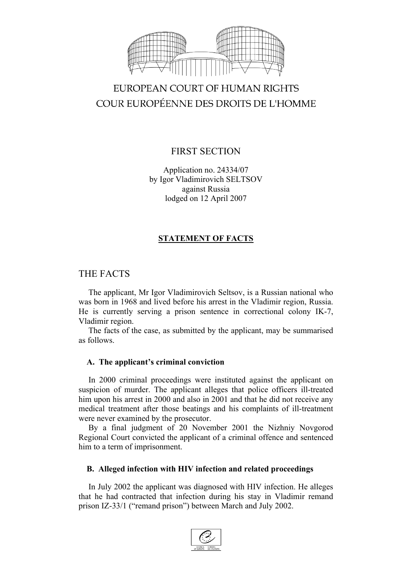

# EUROPEAN COURT OF HUMAN RIGHTS COUR EUROPÉENNE DES DROITS DE L'HOMME

# FIRST SECTION

Application no. 24334/07 by Igor Vladimirovich SELTSOV against Russia lodged on 12 April 2007

## **STATEMENT OF FACTS**

## THE FACTS

The applicant, Mr Igor Vladimirovich Seltsov, is a Russian national who was born in 1968 and lived before his arrest in the Vladimir region, Russia. He is currently serving a prison sentence in correctional colony IK-7, Vladimir region.

The facts of the case, as submitted by the applicant, may be summarised as follows.

## **A. The applicant's criminal conviction**

In 2000 criminal proceedings were instituted against the applicant on suspicion of murder. The applicant alleges that police officers ill-treated him upon his arrest in 2000 and also in 2001 and that he did not receive any medical treatment after those beatings and his complaints of ill-treatment were never examined by the prosecutor.

By a final judgment of 20 November 2001 the Nizhniy Novgorod Regional Court convicted the applicant of a criminal offence and sentenced him to a term of imprisonment.

## **B. Alleged infection with HIV infection and related proceedings**

In July 2002 the applicant was diagnosed with HIV infection. He alleges that he had contracted that infection during his stay in Vladimir remand prison IZ-33/1 ("remand prison") between March and July 2002.

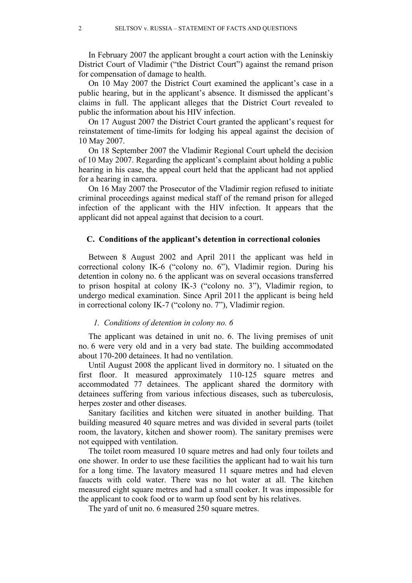In February 2007 the applicant brought a court action with the Leninskiy District Court of Vladimir ("the District Court") against the remand prison for compensation of damage to health.

On 10 May 2007 the District Court examined the applicant's case in a public hearing, but in the applicant's absence. It dismissed the applicant's claims in full. The applicant alleges that the District Court revealed to public the information about his HIV infection.

On 17 August 2007 the District Court granted the applicant's request for reinstatement of time-limits for lodging his appeal against the decision of 10 May 2007.

On 18 September 2007 the Vladimir Regional Court upheld the decision of 10 May 2007. Regarding the applicant's complaint about holding a public hearing in his case, the appeal court held that the applicant had not applied for a hearing in camera.

On 16 May 2007 the Prosecutor of the Vladimir region refused to initiate criminal proceedings against medical staff of the remand prison for alleged infection of the applicant with the HIV infection. It appears that the applicant did not appeal against that decision to a court.

#### **C. Conditions of the applicant's detention in correctional colonies**

Between 8 August 2002 and April 2011 the applicant was held in correctional colony IK-6 ("colony no. 6"), Vladimir region. During his detention in colony no. 6 the applicant was on several occasions transferred to prison hospital at colony IK-3 ("colony no. 3"), Vladimir region, to undergo medical examination. Since April 2011 the applicant is being held in correctional colony IK-7 ("colony no. 7"), Vladimir region.

#### *1. Conditions of detention in colony no. 6*

The applicant was detained in unit no. 6. The living premises of unit no. 6 were very old and in a very bad state. The building accommodated about 170-200 detainees. It had no ventilation.

Until August 2008 the applicant lived in dormitory no. 1 situated on the first floor. It measured approximately 110-125 square metres and accommodated 77 detainees. The applicant shared the dormitory with detainees suffering from various infectious diseases, such as tuberculosis, herpes zoster and other diseases.

Sanitary facilities and kitchen were situated in another building. That building measured 40 square metres and was divided in several parts (toilet room, the lavatory, kitchen and shower room). The sanitary premises were not equipped with ventilation.

The toilet room measured 10 square metres and had only four toilets and one shower. In order to use these facilities the applicant had to wait his turn for a long time. The lavatory measured 11 square metres and had eleven faucets with cold water. There was no hot water at all. The kitchen measured eight square metres and had a small cooker. It was impossible for the applicant to cook food or to warm up food sent by his relatives.

The yard of unit no. 6 measured 250 square metres.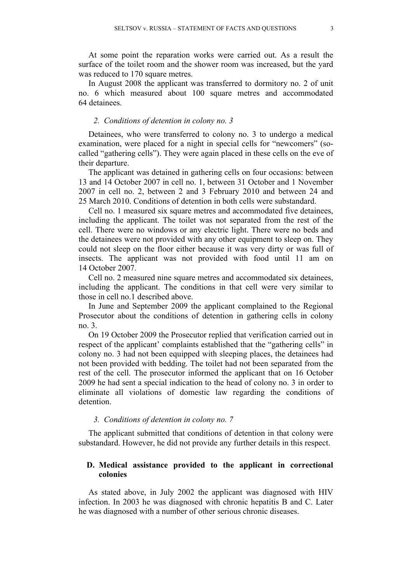At some point the reparation works were carried out. As a result the surface of the toilet room and the shower room was increased, but the yard was reduced to 170 square metres.

In August 2008 the applicant was transferred to dormitory no. 2 of unit no. 6 which measured about 100 square metres and accommodated 64 detainees.

#### *2. Conditions of detention in colony no. 3*

Detainees, who were transferred to colony no. 3 to undergo a medical examination, were placed for a night in special cells for "newcomers" (socalled "gathering cells"). They were again placed in these cells on the eve of their departure.

The applicant was detained in gathering cells on four occasions: between and 14 October 2007 in cell no. 1, between 31 October and 1 November in cell no. 2, between 2 and 3 February 2010 and between 24 and March 2010. Conditions of detention in both cells were substandard.

Cell no. 1 measured six square metres and accommodated five detainees, including the applicant. The toilet was not separated from the rest of the cell. There were no windows or any electric light. There were no beds and the detainees were not provided with any other equipment to sleep on. They could not sleep on the floor either because it was very dirty or was full of insects. The applicant was not provided with food until 11 am on 14 October 2007.

Cell no. 2 measured nine square metres and accommodated six detainees, including the applicant. The conditions in that cell were very similar to those in cell no.1 described above.

In June and September 2009 the applicant complained to the Regional Prosecutor about the conditions of detention in gathering cells in colony no. 3.

On 19 October 2009 the Prosecutor replied that verification carried out in respect of the applicant' complaints established that the "gathering cells" in colony no. 3 had not been equipped with sleeping places, the detainees had not been provided with bedding. The toilet had not been separated from the rest of the cell. The prosecutor informed the applicant that on 16 October 2009 he had sent a special indication to the head of colony no. 3 in order to eliminate all violations of domestic law regarding the conditions of detention.

#### *3. Conditions of detention in colony no. 7*

The applicant submitted that conditions of detention in that colony were substandard. However, he did not provide any further details in this respect.

## **D. Medical assistance provided to the applicant in correctional colonies**

As stated above, in July 2002 the applicant was diagnosed with HIV infection. In 2003 he was diagnosed with chronic hepatitis B and C. Later he was diagnosed with a number of other serious chronic diseases.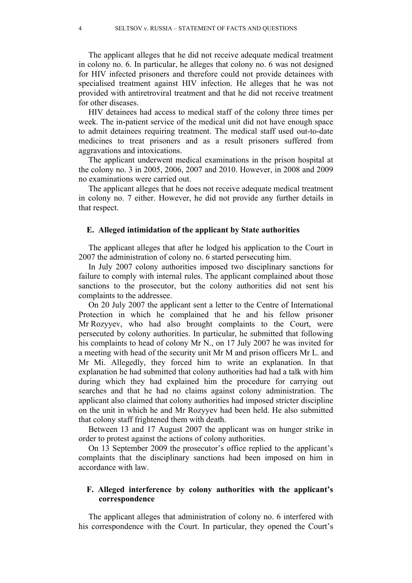The applicant alleges that he did not receive adequate medical treatment in colony no. 6. In particular, he alleges that colony no. 6 was not designed for HIV infected prisoners and therefore could not provide detainees with specialised treatment against HIV infection. He alleges that he was not provided with antiretroviral treatment and that he did not receive treatment for other diseases.

HIV detainees had access to medical staff of the colony three times per week. The in-patient service of the medical unit did not have enough space to admit detainees requiring treatment. The medical staff used out-to-date medicines to treat prisoners and as a result prisoners suffered from aggravations and intoxications.

The applicant underwent medical examinations in the prison hospital at the colony no. 3 in 2005, 2006, 2007 and 2010. However, in 2008 and 2009 no examinations were carried out.

The applicant alleges that he does not receive adequate medical treatment in colony no. 7 either. However, he did not provide any further details in that respect.

#### **E. Alleged intimidation of the applicant by State authorities**

The applicant alleges that after he lodged his application to the Court in 2007 the administration of colony no. 6 started persecuting him.

In July 2007 colony authorities imposed two disciplinary sanctions for failure to comply with internal rules. The applicant complained about those sanctions to the prosecutor, but the colony authorities did not sent his complaints to the addressee.

On 20 July 2007 the applicant sent a letter to the Centre of International Protection in which he complained that he and his fellow prisoner Mr Rozyyev, who had also brought complaints to the Court, were persecuted by colony authorities. In particular, he submitted that following his complaints to head of colony Mr N., on 17 July 2007 he was invited for a meeting with head of the security unit Mr M and prison officers Mr L. and Mr Mi. Allegedly, they forced him to write an explanation. In that explanation he had submitted that colony authorities had had a talk with him during which they had explained him the procedure for carrying out searches and that he had no claims against colony administration. The applicant also claimed that colony authorities had imposed stricter discipline on the unit in which he and Mr Rozyyev had been held. He also submitted that colony staff frightened them with death.

Between 13 and 17 August 2007 the applicant was on hunger strike in order to protest against the actions of colony authorities.

On 13 September 2009 the prosecutor's office replied to the applicant's complaints that the disciplinary sanctions had been imposed on him in accordance with law.

## **F. Alleged interference by colony authorities with the applicant's correspondence**

The applicant alleges that administration of colony no. 6 interfered with his correspondence with the Court. In particular, they opened the Court's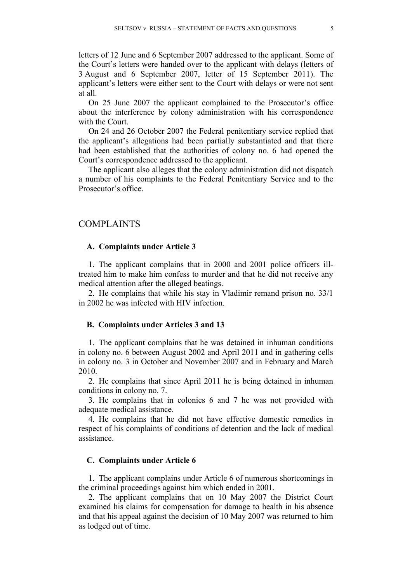letters of 12 June and 6 September 2007 addressed to the applicant. Some of the Court's letters were handed over to the applicant with delays (letters of 3 August and 6 September 2007, letter of 15 September 2011). The applicant's letters were either sent to the Court with delays or were not sent at all.

On 25 June 2007 the applicant complained to the Prosecutor's office about the interference by colony administration with his correspondence with the Court.

On 24 and 26 October 2007 the Federal penitentiary service replied that the applicant's allegations had been partially substantiated and that there had been established that the authorities of colony no. 6 had opened the Court's correspondence addressed to the applicant.

The applicant also alleges that the colony administration did not dispatch a number of his complaints to the Federal Penitentiary Service and to the Prosecutor's office.

## COMPLAINTS

#### **A. Complaints under Article 3**

1. The applicant complains that in 2000 and 2001 police officers illtreated him to make him confess to murder and that he did not receive any medical attention after the alleged beatings.

2. He complains that while his stay in Vladimir remand prison no. 33/1 in 2002 he was infected with HIV infection.

#### **B. Complaints under Articles 3 and 13**

1. The applicant complains that he was detained in inhuman conditions in colony no. 6 between August 2002 and April 2011 and in gathering cells in colony no. 3 in October and November 2007 and in February and March 2010.

2. He complains that since April 2011 he is being detained in inhuman conditions in colony no. 7.

3. He complains that in colonies 6 and 7 he was not provided with adequate medical assistance.

4. He complains that he did not have effective domestic remedies in respect of his complaints of conditions of detention and the lack of medical assistance.

## **C. Complaints under Article 6**

1. The applicant complains under Article 6 of numerous shortcomings in the criminal proceedings against him which ended in 2001.

2. The applicant complains that on 10 May 2007 the District Court examined his claims for compensation for damage to health in his absence and that his appeal against the decision of 10 May 2007 was returned to him as lodged out of time.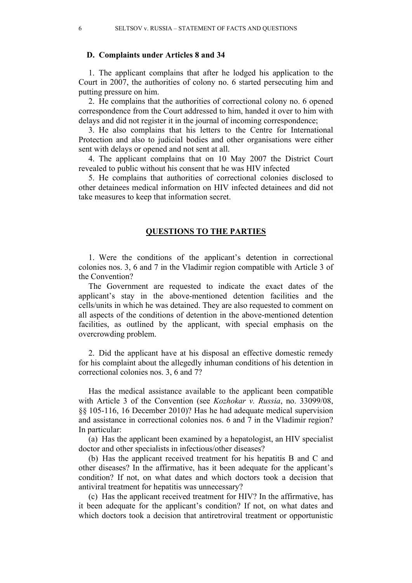#### **D. Complaints under Articles 8 and 34**

1. The applicant complains that after he lodged his application to the Court in 2007, the authorities of colony no. 6 started persecuting him and putting pressure on him.

2. He complains that the authorities of correctional colony no. 6 opened correspondence from the Court addressed to him, handed it over to him with delays and did not register it in the journal of incoming correspondence;

3. He also complains that his letters to the Centre for International Protection and also to judicial bodies and other organisations were either sent with delays or opened and not sent at all.

4. The applicant complains that on 10 May 2007 the District Court revealed to public without his consent that he was HIV infected

5. He complains that authorities of correctional colonies disclosed to other detainees medical information on HIV infected detainees and did not take measures to keep that information secret.

## **QUESTIONS TO THE PARTIES**

1. Were the conditions of the applicant's detention in correctional colonies nos. 3, 6 and 7 in the Vladimir region compatible with Article 3 of the Convention?

The Government are requested to indicate the exact dates of the applicant's stay in the above-mentioned detention facilities and the cells/units in which he was detained. They are also requested to comment on all aspects of the conditions of detention in the above-mentioned detention facilities, as outlined by the applicant, with special emphasis on the overcrowding problem.

2. Did the applicant have at his disposal an effective domestic remedy for his complaint about the allegedly inhuman conditions of his detention in correctional colonies nos. 3, 6 and 7?

Has the medical assistance available to the applicant been compatible with Article 3 of the Convention (see *Kozhokar v. Russia*, no. 33099/08, §§ 105-116, 16 December 2010)? Has he had adequate medical supervision and assistance in correctional colonies nos. 6 and 7 in the Vladimir region? In particular:

(a) Has the applicant been examined by a hepatologist, an HIV specialist doctor and other specialists in infectious/other diseases?

(b) Has the applicant received treatment for his hepatitis B and C and other diseases? In the affirmative, has it been adequate for the applicant's condition? If not, on what dates and which doctors took a decision that antiviral treatment for hepatitis was unnecessary?

(c) Has the applicant received treatment for HIV? In the affirmative, has it been adequate for the applicant's condition? If not, on what dates and which doctors took a decision that antiretroviral treatment or opportunistic